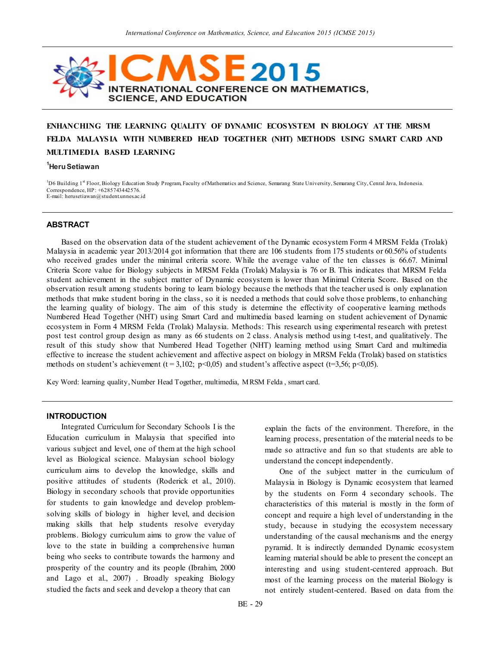

# **ENHANCHING THE LEARNING QUALITY OF DYNAMIC ECOSYSTEM IN BIOLOGY AT THE MRSM FELDA MALAYS IA WITH NUMBERED HEAD TOGETHER (NHT) METHODS USING SMART CARD AND MULTIMEDIA BASED LEARNING**

#### **<sup>1</sup>Heru Setiawan**

<sup>1</sup>D6 Building 1<sup>st</sup> Floor, Biology Education Study Program, Faculty of Mathematics and Science, Semarang State University, Semarang City, Cenral Java, Indonesia. Correspondence, HP: +6285743442576. E-mail: herusetiawan@student.unnes.ac.id

### **ABSTRACT**

Based on the observation data of the student achievement of the Dynamic ecosystem Form 4 MRSM Felda (Trolak) Malaysia in academic year 2013/2014 got information that there are 106 students from 175 students or 60.56% of students who received grades under the minimal criteria score. While the average value of the ten classes is 66.67. Minimal Criteria Score value for Biology subjects in MRSM Felda (Trolak) Malaysia is 76 or B. This indicates that MRSM Felda student achievement in the subject matter of Dynamic ecosystem is lower than Minimal Criteria Score. Based on the observation result among students boring to learn biology because the methods that the teacher used is only explanation methods that make student boring in the class, so it is needed a methods that could solve those problems, to enhanching the learning quality of biology. The aim of this study is determine the effectivity of cooperative learning methods Numbered Head Together (NHT) using Smart Card and multimedia based learning on student achievement of Dynamic ecosystem in Form 4 MRSM Felda (Trolak) Malaysia. Methods: This research using experimental research with pretest post test control group design as many as 66 students on 2 class. Analysis method using t-test, and qualitatively. The result of this study show that Numbered Head Together (NHT) learning method using Smart Card and multimedia effective to increase the student achievement and affective aspect on biology in MRSM Felda (Trolak) based on statistics methods on student's achievement (t = 3,102; p<0,05) and student's affective aspect (t=3,56; p<0,05).

Key Word: learning quality, Number Head Together, multimedia, MRSM Felda , smart card.

#### **INTRODUCTION**

Integrated Curriculum for Secondary Schools I is the Education curriculum in Malaysia that specified into various subject and level, one of them at the high school level as Biological science. Malaysian school biology curriculum aims to develop the knowledge, skills and positive attitudes of students (Roderick et al., 2010). Biology in secondary schools that provide opportunities for students to gain knowledge and develop problemsolving skills of biology in higher level, and decision making skills that help students resolve everyday problems. Biology curriculum aims to grow the value of love to the state in building a comprehensive human being who seeks to contribute towards the harmony and prosperity of the country and its people (Ibrahim, 2000 and Lago et al., 2007) . Broadly speaking Biology studied the facts and seek and develop a theory that can

explain the facts of the environment. Therefore, in the learning process, presentation of the material needs to be made so attractive and fun so that students are able to understand the concept independently.

One of the subject matter in the curriculum of Malaysia in Biology is Dynamic ecosystem that learned by the students on Form 4 secondary schools. The characteristics of this material is mostly in the form of concept and require a high level of understanding in the study, because in studying the ecosystem necessary understanding of the causal mechanisms and the energy pyramid. It is indirectly demanded Dynamic ecosystem learning material should be able to present the concept an interesting and using student-centered approach. But most of the learning process on the material Biology is not entirely student-centered. Based on data from the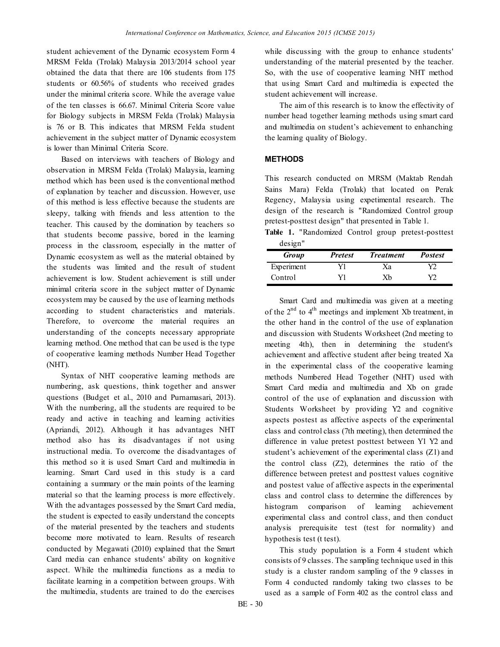student achievement of the Dynamic ecosystem Form 4 MRSM Felda (Trolak) Malaysia 2013/2014 school year obtained the data that there are 106 students from 175 students or 60.56% of students who received grades under the minimal criteria score. While the average value of the ten classes is 66.67. Minimal Criteria Score value for Biology subjects in MRSM Felda (Trolak) Malaysia is 76 or B. This indicates that MRSM Felda student achievement in the subject matter of Dynamic ecosystem is lower than Minimal Criteria Score.

Based on interviews with teachers of Biology and observation in MRSM Felda (Trolak) Malaysia, learning method which has been used is the conventional method of explanation by teacher and discussion. However, use of this method is less effective because the students are sleepy, talking with friends and less attention to the teacher. This caused by the domination by teachers so that students become passive, bored in the learning process in the classroom, especially in the matter of Dynamic ecosystem as well as the material obtained by the students was limited and the result of student achievement is low. Student achievement is still under minimal criteria score in the subject matter of Dynamic ecosystem may be caused by the use of learning methods according to student characteristics and materials. Therefore, to overcome the material requires an understanding of the concepts necessary appropriate learning method. One method that can be used is the type of cooperative learning methods Number Head Together (NHT).

Syntax of NHT cooperative learning methods are numbering, ask questions, think together and answer questions (Budget et al., 2010 and Purnamasari, 2013). With the numbering, all the students are required to be ready and active in teaching and learning activities (Apriandi, 2012). Although it has advantages NHT method also has its disadvantages if not using instructional media. To overcome the disadvantages of this method so it is used Smart Card and multimedia in learning. Smart Card used in this study is a card containing a summary or the main points of the learning material so that the learning process is more effectively. With the advantages possessed by the Smart Card media, the student is expected to easily understand the concepts of the material presented by the teachers and students become more motivated to learn. Results of research conducted by Megawati (2010) explained that the Smart Card media can enhance students' ability on kognitive aspect. While the multimedia functions as a media to facilitate learning in a competition between groups. With the multimedia, students are trained to do the exercises

while discussing with the group to enhance students' understanding of the material presented by the teacher. So, with the use of cooperative learning NHT method that using Smart Card and multimedia is expected the student achievement will increase.

The aim of this research is to know the effectivity of number head together learning methods using smart card and multimedia on student's achievement to enhanching the learning quality of Biology.

# **METHODS**

This research conducted on MRSM (Maktab Rendah Sains Mara) Felda (Trolak) that located on Perak Regency, Malaysia using expetimental research. The design of the research is "Randomized Control group pretest-posttest design" that presented in Table 1.

**Table 1.** "Randomized Control group pretest-posttest design"

| .<br>Group | <b>Pretest</b> | <b>Treatment</b> | <b>Postest</b> |
|------------|----------------|------------------|----------------|
| Experiment |                | Xа               |                |
| Control    | V1             | Xb               | V)             |

Smart Card and multimedia was given at a meeting of the  $2<sup>nd</sup>$  to  $4<sup>th</sup>$  meetings and implement Xb treatment, in the other hand in the control of the use of explanation and discussion with Students Worksheet (2nd meeting to meeting 4th), then in determining the student's achievement and affective student after being treated Xa in the experimental class of the cooperative learning methods Numbered Head Together (NHT) used with Smart Card media and multimedia and Xb on grade control of the use of explanation and discussion with Students Worksheet by providing Y2 and cognitive aspects postest as affective aspects of the experimental class and control class (7th meeting), then determined the difference in value pretest posttest between Y1 Y2 and student's achievement of the experimental class (Z1) and the control class (Z2), determines the ratio of the difference between pretest and posttest values cognitive and postest value of affective aspects in the experimental class and control class to determine the differences by histogram comparison of learning achievement experimental class and control class, and then conduct analysis prerequisite test (test for normality) and hypothesis test (t test).

This study population is a Form 4 student which consists of 9 classes. The sampling technique used in this study is a cluster random sampling of the 9 classes in Form 4 conducted randomly taking two classes to be used as a sample of Form 402 as the control class and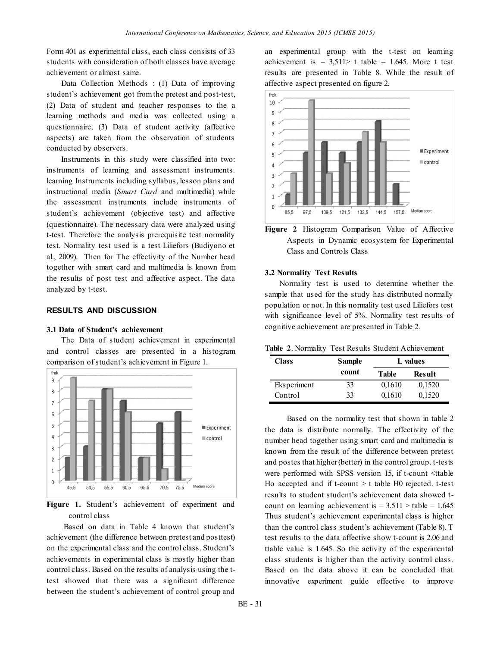Form 401 as experimental class, each class consists of 33 students with consideration of both classes have average achievement or almost same.

Data Collection Methods : (1) Data of improving student's achievement got from the pretest and post-test, (2) Data of student and teacher responses to the a learning methods and media was collected using a questionnaire, (3) Data of student activity (affective aspects) are taken from the observation of students conducted by observers.

Instruments in this study were classified into two: instruments of learning and assessment instruments. learning Instruments including syllabus, lesson plans and instructional media (*Smart Card* and multimedia) while the assessment instruments include instruments of student's achievement (objective test) and affective (questionnaire). The necessary data were analyzed using t-test. Therefore the analysis prerequisite test normality test. Normality test used is a test Liliefors (Budiyono et al., 2009). Then for The effectivity of the Number head together with smart card and multimedia is known from the results of post test and affective aspect. The data analyzed by t-test.

## **RESULTS AND DISCUSSION**

#### **3.1 Data of Student's achievement**

The Data of student achievement in experimental and control classes are presented in a histogram comparison of student's achievement in Figure 1.



**Figure 1.** Student's achievement of experiment and control class

Based on data in Table 4 known that student's achievement (the difference between pretest and posttest) on the experimental class and the control class. Student's achievements in experimental class is mostly higher than control class. Based on the results of analysis using the ttest showed that there was a significant difference between the student's achievement of control group and

an experimental group with the t-test on learning achievement is  $= 3.511$  t table  $= 1.645$ . More t test results are presented in Table 8. While the result of affective aspect presented on figure 2.



**Figure 2** Histogram Comparison Value of Affective Aspects in Dynamic ecosystem for Experimental Class and Controls Class

### **3.2 Normality Test Results**

Normality test is used to determine whether the sample that used for the study has distributed normally population or not. In this normality test used Liliefors test with significance level of 5%. Normality test results of cognitive achievement are presented in Table 2.

**Table 2**. Normality Test Results Student Achievement

| <b>Class</b> | <b>Sample</b> | L values     |        |
|--------------|---------------|--------------|--------|
|              | count         | <b>Table</b> | Result |
| Eksperiment  | 33            | 0,1610       | 0,1520 |
| Control      | 33            | 0,1610       | 0,1520 |

Based on the normality test that shown in table 2 the data is distribute normally. The effectivity of the number head together using smart card and multimedia is known from the result of the difference between pretest and postes that higher (better) in the control group. t-tests were performed with SPSS version 15, if t-count <ttable Ho accepted and if  $t$ -count  $> t$  table H0 rejected.  $t$ -test results to student student's achievement data showed tcount on learning achievement is  $= 3.511$   $>$  table  $= 1.645$ Thus student's achievement experimental class is higher than the control class student's achievement (Table 8). T test results to the data affective show t-count is 2.06 and ttable value is 1.645. So the activity of the experimental class students is higher than the activity control class. Based on the data above it can be concluded that innovative experiment guide effective to improve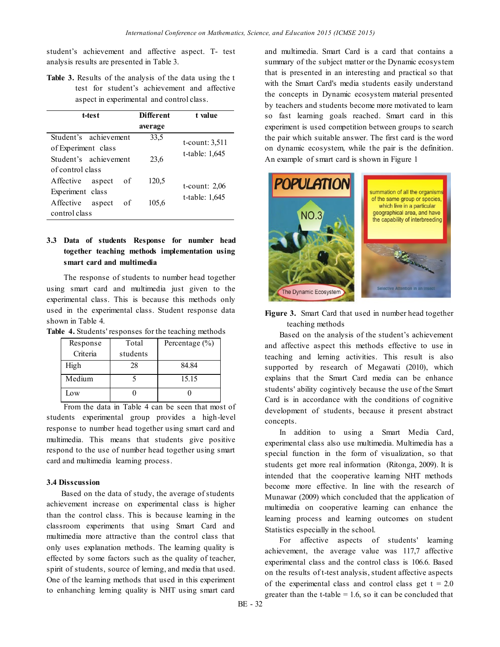student's achievement and affective aspect. T- test analysis results are presented in Table 3.

**Table 3.** Results of the analysis of the data using the t test for student's achievement and affective aspect in experimental and control class.

| t-test                           | <b>Different</b><br>average | t value           |
|----------------------------------|-----------------------------|-------------------|
| Student's achievement            | 33,5                        | $t$ -count: 3,511 |
| of Experiment class              |                             | t-table: 1,645    |
| Student's achievement            | 23.6                        |                   |
| of control class                 |                             |                   |
| Affective<br>οf<br>aspect        | 120,5                       |                   |
| Experiment class                 |                             | t-count: $2,06$   |
| <b>Affective</b><br>of<br>aspect | 105,6                       | t-table: 1,645    |
| control class                    |                             |                   |

# **3.3 Data of students Response for number head together teaching methods implementation using smart card and multimedia**

The response of students to number head together using smart card and multimedia just given to the experimental class. This is because this methods only used in the experimental class. Student response data shown in Table 4.

|  | Table 4. Students' responses for the teaching methods |  |  |  |  |
|--|-------------------------------------------------------|--|--|--|--|
|--|-------------------------------------------------------|--|--|--|--|

| Response | Total    | Percentage $(\% )$ |
|----------|----------|--------------------|
| Criteria | students |                    |
| High     | 28       | 84.84              |
| Medium   |          | 15.15              |
| Low      |          |                    |

From the data in Table 4 can be seen that most of students experimental group provides a high-level response to number head together using smart card and multimedia. This means that students give positive respond to the use of number head together using smart card and multimedia learning process.

### **3.4 Disscussion**

Based on the data of study, the average of students achievement increase on experimental class is higher than the control class. This is because learning in the classroom experiments that using Smart Card and multimedia more attractive than the control class that only uses explanation methods. The learning quality is effected by some factors such as the quality of teacher, spirit of students, source of lerning, and media that used. One of the learning methods that used in this experiment to enhanching lerning quality is NHT using smart card

and multimedia. Smart Card is a card that contains a summary of the subject matter or the Dynamic ecosystem that is presented in an interesting and practical so that with the Smart Card's media students easily understand the concepts in Dynamic ecosystem material presented by teachers and students become more motivated to learn so fast learning goals reached. Smart card in this experiment is used competition between groups to search the pair which suitable answer. The first card is the word on dynamic ecosystem, while the pair is the definition. An example of smart card is shown in Figure 1



**Figure 3.** Smart Card that used in number head together teaching methods

Based on the analysis of the student's achievement and affective aspect this methods effective to use in teaching and lerning activities. This result is also supported by research of Megawati (2010), which explains that the Smart Card media can be enhance students' ability cogintively because the use of the Smart Card is in accordance with the conditions of cognitive development of students, because it present abstract concepts.

In addition to using a Smart Media Card, experimental class also use multimedia. Multimedia has a special function in the form of visualization, so that students get more real information (Ritonga, 2009). It is intended that the cooperative learning NHT methods become more effective. In line with the research of Munawar (2009) which concluded that the application of multimedia on cooperative learning can enhance the learning process and learning outcomes on student Statistics especially in the school.

For affective aspects of students' learning achievement, the average value was 117,7 affective experimental class and the control class is 106.6. Based on the results of t-test analysis, student affective aspects of the experimental class and control class get  $t = 2.0$ greater than the t-table  $= 1.6$ , so it can be concluded that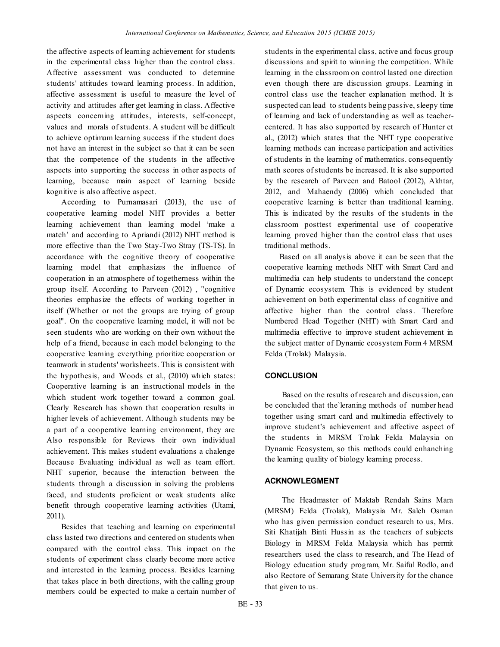the affective aspects of learning achievement for students in the experimental class higher than the control class. Affective assessment was conducted to determine students' attitudes toward learning process. In addition, affective assessment is useful to measure the level of activity and attitudes after get learning in class. Affective aspects concerning attitudes, interests, self-concept, values and morals of students. A student will be difficult to achieve optimum learning success if the student does not have an interest in the subject so that it can be seen that the competence of the students in the affective aspects into supporting the success in other aspects of learning, because main aspect of learning beside kognitive is also affective aspect.

According to Purnamasari (2013), the use of cooperative learning model NHT provides a better learning achievement than learning model 'make a match' and according to Apriandi (2012) NHT method is more effective than the Two Stay-Two Stray (TS-TS). In accordance with the cognitive theory of cooperative learning model that emphasizes the influence of cooperation in an atmosphere of togetherness within the group itself. According to Parveen (2012) , "cognitive theories emphasize the effects of working together in itself (Whether or not the groups are trying of group goal". On the cooperative learning model, it will not be seen students who are working on their own without the help of a friend, because in each model belonging to the cooperative learning everything prioritize cooperation or teamwork in students' worksheets. This is consistent with the hypothesis, and Woods et al., (2010) which states: Cooperative learning is an instructional models in the which student work together toward a common goal. Clearly Research has shown that cooperation results in higher levels of achievement. Although students may be a part of a cooperative learning environment, they are Also responsible for Reviews their own individual achievement. This makes student evaluations a chalenge Because Evaluating individual as well as team effort. NHT superior, because the interaction between the students through a discussion in solving the problems faced, and students proficient or weak students alike benefit through cooperative learning activities (Utami, 2011).

Besides that teaching and learning on experimental class lasted two directions and centered on students when compared with the control class. This impact on the students of experiment class clearly become more active and interested in the learning process. Besides learning that takes place in both directions, with the calling group members could be expected to make a certain number of students in the experimental class, active and focus group discussions and spirit to winning the competition. While learning in the classroom on control lasted one direction even though there are discussion groups. Learning in control class use the teacher explanation method. It is suspected can lead to students being passive, sleepy time of learning and lack of understanding as well as teachercentered. It has also supported by research of Hunter et al., (2012) which states that the NHT type cooperative learning methods can increase participation and activities of students in the learning of mathematics. consequently math scores of students be increased. It is also supported by the research of Parveen and Batool (2012), Akhtar, 2012, and Mahaendy (2006) which concluded that cooperative learning is better than traditional learning. This is indicated by the results of the students in the classroom posttest experimental use of cooperative learning proved higher than the control class that uses traditional methods.

Based on all analysis above it can be seen that the cooperative learning methods NHT with Smart Card and multimedia can help students to understand the concept of Dynamic ecosystem. This is evidenced by student achievement on both experimental class of cognitive and affective higher than the control class. Therefore Numbered Head Together (NHT) with Smart Card and multimedia effective to improve student achievement in the subject matter of Dynamic ecosystem Form 4 MRSM Felda (Trolak) Malaysia.

### **CONCLUSION**

Based on the results of research and discussion, can be concluded that the`leraning methods of number head together using smart card and multimedia effectively to improve student's achievement and affective aspect of the students in MRSM Trolak Felda Malaysia on Dynamic Ecosystem, so this methods could enhanching the learning quality of biology learning process.

### **ACKNOWLEGMENT**

The Headmaster of Maktab Rendah Sains Mara (MRSM) Felda (Trolak), Malaysia Mr. Saleh Osman who has given permission conduct research to us, Mrs. Siti Khatijah Binti Hussin as the teachers of subjects Biology in MRSM Felda Malaysia which has permit researchers used the class to research, and The Head of Biology education study program, Mr. Saiful Rodlo, and also Rectore of Semarang State University for the chance that given to us.